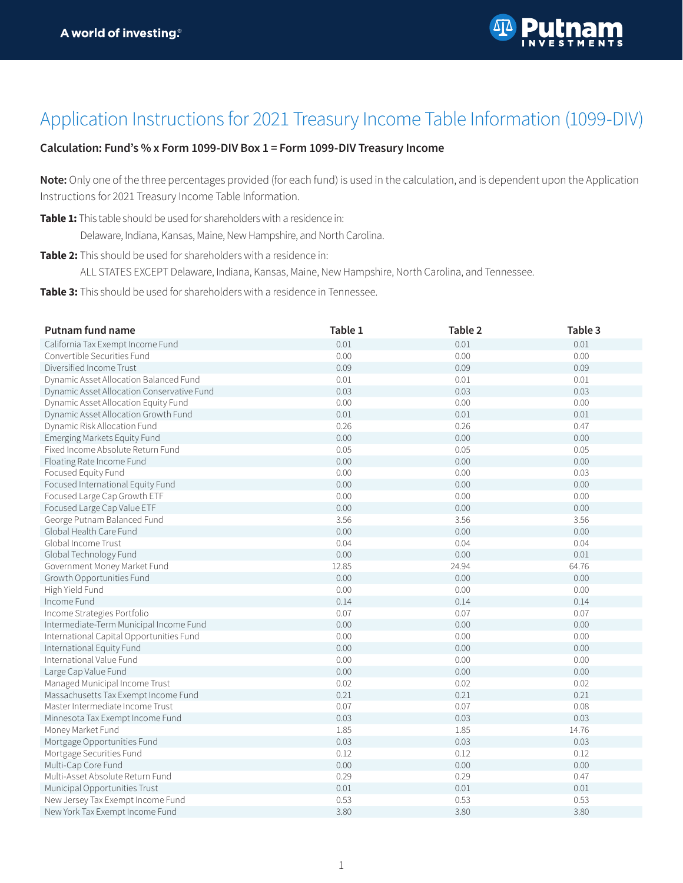

## Application Instructions for 2021 Treasury Income Table Information (1099-DIV)

## **Calculation: Fund's % x Form 1099-DIV Box 1 = Form 1099-DIV Treasury Income**

**Note:** Only one of the three percentages provided (for each fund) is used in the calculation, and is dependent upon the Application Instructions for 2021 Treasury Income Table Information.

**Table 1:** This table should be used for shareholders with a residence in:

Delaware, Indiana, Kansas, Maine, New Hampshire, and North Carolina.

**Table 2:** This should be used for shareholders with a residence in:

ALL STATES EXCEPT Delaware, Indiana, Kansas, Maine, New Hampshire, North Carolina, and Tennessee.

**Table 3:** This should be used for shareholders with a residence in Tennessee.

| 0.01<br>0.01<br>0.01<br>California Tax Exempt Income Fund<br>Convertible Securities Fund<br>0.00<br>0.00<br>0.00<br>Diversified Income Trust<br>0.09<br>0.09<br>0.09<br>0.01<br>0.01<br>0.01<br>Dynamic Asset Allocation Balanced Fund<br>0.03<br>0.03<br>0.03<br>Dynamic Asset Allocation Conservative Fund<br>0.00<br>0.00<br>0.00<br>Dynamic Asset Allocation Equity Fund<br>0.01<br>0.01<br>0.01<br>Dynamic Asset Allocation Growth Fund<br>Dynamic Risk Allocation Fund<br>0.26<br>0.47<br>0.26<br>0.00<br>Emerging Markets Equity Fund<br>0.00<br>0.00<br>Fixed Income Absolute Return Fund<br>0.05<br>0.05<br>0.05<br>0.00<br>0.00<br>0.00<br>Floating Rate Income Fund<br>0.00<br>0.00<br>0.03<br>Focused Equity Fund<br>0.00<br>0.00<br>Focused International Equity Fund<br>0.00 |
|--------------------------------------------------------------------------------------------------------------------------------------------------------------------------------------------------------------------------------------------------------------------------------------------------------------------------------------------------------------------------------------------------------------------------------------------------------------------------------------------------------------------------------------------------------------------------------------------------------------------------------------------------------------------------------------------------------------------------------------------------------------------------------------------|
|                                                                                                                                                                                                                                                                                                                                                                                                                                                                                                                                                                                                                                                                                                                                                                                            |
|                                                                                                                                                                                                                                                                                                                                                                                                                                                                                                                                                                                                                                                                                                                                                                                            |
|                                                                                                                                                                                                                                                                                                                                                                                                                                                                                                                                                                                                                                                                                                                                                                                            |
|                                                                                                                                                                                                                                                                                                                                                                                                                                                                                                                                                                                                                                                                                                                                                                                            |
|                                                                                                                                                                                                                                                                                                                                                                                                                                                                                                                                                                                                                                                                                                                                                                                            |
|                                                                                                                                                                                                                                                                                                                                                                                                                                                                                                                                                                                                                                                                                                                                                                                            |
|                                                                                                                                                                                                                                                                                                                                                                                                                                                                                                                                                                                                                                                                                                                                                                                            |
|                                                                                                                                                                                                                                                                                                                                                                                                                                                                                                                                                                                                                                                                                                                                                                                            |
|                                                                                                                                                                                                                                                                                                                                                                                                                                                                                                                                                                                                                                                                                                                                                                                            |
|                                                                                                                                                                                                                                                                                                                                                                                                                                                                                                                                                                                                                                                                                                                                                                                            |
|                                                                                                                                                                                                                                                                                                                                                                                                                                                                                                                                                                                                                                                                                                                                                                                            |
|                                                                                                                                                                                                                                                                                                                                                                                                                                                                                                                                                                                                                                                                                                                                                                                            |
|                                                                                                                                                                                                                                                                                                                                                                                                                                                                                                                                                                                                                                                                                                                                                                                            |
| Focused Large Cap Growth ETF<br>0.00<br>0.00<br>0.00                                                                                                                                                                                                                                                                                                                                                                                                                                                                                                                                                                                                                                                                                                                                       |
| Focused Large Cap Value ETF<br>0.00<br>0.00<br>0.00                                                                                                                                                                                                                                                                                                                                                                                                                                                                                                                                                                                                                                                                                                                                        |
| George Putnam Balanced Fund<br>3.56<br>3.56<br>3.56                                                                                                                                                                                                                                                                                                                                                                                                                                                                                                                                                                                                                                                                                                                                        |
| Global Health Care Fund<br>0.00<br>0.00<br>0.00                                                                                                                                                                                                                                                                                                                                                                                                                                                                                                                                                                                                                                                                                                                                            |
| Global Income Trust<br>0.04<br>0.04<br>0.04                                                                                                                                                                                                                                                                                                                                                                                                                                                                                                                                                                                                                                                                                                                                                |
| 0.00<br>0.00<br>0.01<br>Global Technology Fund                                                                                                                                                                                                                                                                                                                                                                                                                                                                                                                                                                                                                                                                                                                                             |
| 12.85<br>24.94<br>64.76<br>Government Money Market Fund                                                                                                                                                                                                                                                                                                                                                                                                                                                                                                                                                                                                                                                                                                                                    |
| 0.00<br>Growth Opportunities Fund<br>0.00<br>0.00                                                                                                                                                                                                                                                                                                                                                                                                                                                                                                                                                                                                                                                                                                                                          |
| 0.00<br>High Yield Fund<br>0.00<br>0.00                                                                                                                                                                                                                                                                                                                                                                                                                                                                                                                                                                                                                                                                                                                                                    |
| Income Fund<br>0.14<br>0.14<br>0.14                                                                                                                                                                                                                                                                                                                                                                                                                                                                                                                                                                                                                                                                                                                                                        |
| Income Strategies Portfolio<br>0.07<br>0.07<br>0.07                                                                                                                                                                                                                                                                                                                                                                                                                                                                                                                                                                                                                                                                                                                                        |
| 0.00<br>0.00<br>0.00<br>Intermediate-Term Municipal Income Fund                                                                                                                                                                                                                                                                                                                                                                                                                                                                                                                                                                                                                                                                                                                            |
| 0.00<br>0.00<br>International Capital Opportunities Fund<br>0.00                                                                                                                                                                                                                                                                                                                                                                                                                                                                                                                                                                                                                                                                                                                           |
| International Equity Fund<br>0.00<br>0.00<br>0.00                                                                                                                                                                                                                                                                                                                                                                                                                                                                                                                                                                                                                                                                                                                                          |
| International Value Fund<br>0.00<br>0.00<br>0.00                                                                                                                                                                                                                                                                                                                                                                                                                                                                                                                                                                                                                                                                                                                                           |
| 0.00<br>0.00<br>0.00<br>Large Cap Value Fund                                                                                                                                                                                                                                                                                                                                                                                                                                                                                                                                                                                                                                                                                                                                               |
| 0.02<br>0.02<br>Managed Municipal Income Trust<br>0.02                                                                                                                                                                                                                                                                                                                                                                                                                                                                                                                                                                                                                                                                                                                                     |
| 0.21<br>0.21<br>0.21<br>Massachusetts Tax Exempt Income Fund                                                                                                                                                                                                                                                                                                                                                                                                                                                                                                                                                                                                                                                                                                                               |
| Master Intermediate Income Trust<br>0.07<br>0.08<br>0.07                                                                                                                                                                                                                                                                                                                                                                                                                                                                                                                                                                                                                                                                                                                                   |
| 0.03<br>0.03<br>0.03<br>Minnesota Tax Exempt Income Fund                                                                                                                                                                                                                                                                                                                                                                                                                                                                                                                                                                                                                                                                                                                                   |
| 1.85<br>Money Market Fund<br>1.85<br>14.76                                                                                                                                                                                                                                                                                                                                                                                                                                                                                                                                                                                                                                                                                                                                                 |
| 0.03<br>0.03<br>0.03<br>Mortgage Opportunities Fund                                                                                                                                                                                                                                                                                                                                                                                                                                                                                                                                                                                                                                                                                                                                        |
| 0.12<br>0.12<br>0.12<br>Mortgage Securities Fund                                                                                                                                                                                                                                                                                                                                                                                                                                                                                                                                                                                                                                                                                                                                           |
| 0.00<br>0.00<br>Multi-Cap Core Fund<br>0.00                                                                                                                                                                                                                                                                                                                                                                                                                                                                                                                                                                                                                                                                                                                                                |
| Multi-Asset Absolute Return Fund<br>0.29<br>0.47<br>0.29                                                                                                                                                                                                                                                                                                                                                                                                                                                                                                                                                                                                                                                                                                                                   |
| Municipal Opportunities Trust<br>0.01<br>0.01<br>0.01                                                                                                                                                                                                                                                                                                                                                                                                                                                                                                                                                                                                                                                                                                                                      |
| 0.53<br>0.53<br>0.53<br>New Jersey Tax Exempt Income Fund                                                                                                                                                                                                                                                                                                                                                                                                                                                                                                                                                                                                                                                                                                                                  |
| 3.80<br>3.80<br>3.80<br>New York Tax Exempt Income Fund                                                                                                                                                                                                                                                                                                                                                                                                                                                                                                                                                                                                                                                                                                                                    |